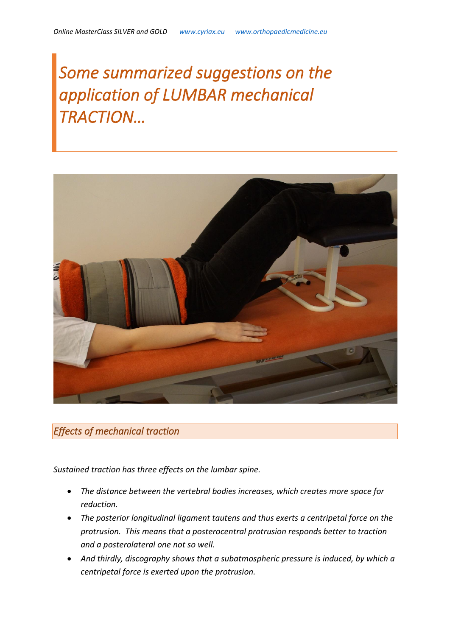# *Some summarized suggestions on the application of LUMBAR mechanical TRACTION…*



## *Effects of mechanical traction*

*Sustained traction has three effects on the lumbar spine.* 

- *The distance between the vertebral bodies increases, which creates more space for reduction.*
- *The posterior longitudinal ligament tautens and thus exerts a centripetal force on the protrusion. This means that a posterocentral protrusion responds better to traction and a posterolateral one not so well.*
- *And thirdly, discography shows that a subatmospheric pressure is induced, by which a centripetal force is exerted upon the protrusion.*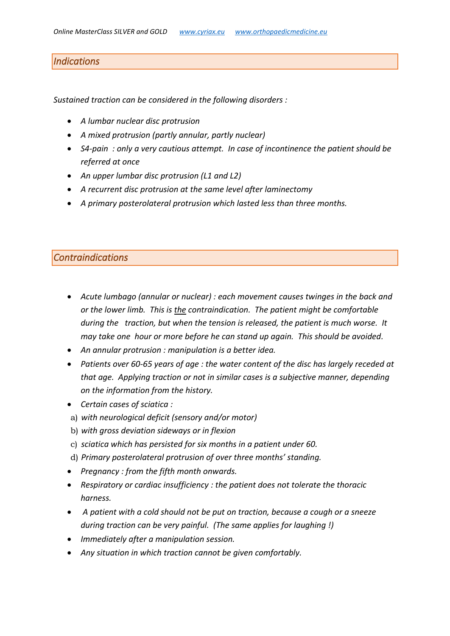## *Indications*

*Sustained traction can be considered in the following disorders :*

- *A lumbar nuclear disc protrusion*
- *A mixed protrusion (partly annular, partly nuclear)*
- *S4-pain : only a very cautious attempt. In case of incontinence the patient should be referred at once*
- *An upper lumbar disc protrusion (L1 and L2)*
- *A recurrent disc protrusion at the same level after laminectomy*
- *A primary posterolateral protrusion which lasted less than three months.*

### *Contraindications*

- *Acute lumbago (annular or nuclear) : each movement causes twinges in the back and or the lower limb. This is the contraindication. The patient might be comfortable during the traction, but when the tension is released, the patient is much worse. It may take one hour or more before he can stand up again. This should be avoided.*
- *An annular protrusion : manipulation is a better idea.*
- *Patients over 60-65 years of age : the water content of the disc has largely receded at that age. Applying traction or not in similar cases is a subjective manner, depending on the information from the history.*
- *Certain cases of sciatica :*
- a) *with neurological deficit (sensory and/or motor)*
- b) *with gross deviation sideways or in flexion*
- c) *sciatica which has persisted for six months in a patient under 60.*
- d) *Primary posterolateral protrusion of over three months' standing.*
- *Pregnancy : from the fifth month onwards.*
- *Respiratory or cardiac insufficiency : the patient does not tolerate the thoracic harness.*
- *A patient with a cold should not be put on traction, because a cough or a sneeze during traction can be very painful. (The same applies for laughing !)*
- *Immediately after a manipulation session.*
- *Any situation in which traction cannot be given comfortably.*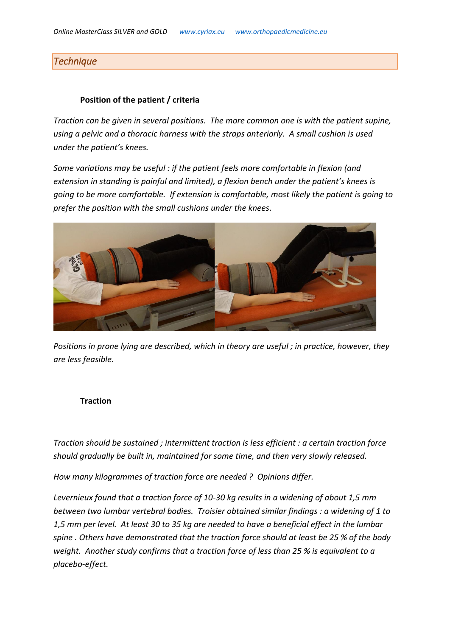## *Technique*

#### **Position of the patient / criteria**

*Traction can be given in several positions. The more common one is with the patient supine, using a pelvic and a thoracic harness with the straps anteriorly. A small cushion is used under the patient's knees.*

*Some variations may be useful : if the patient feels more comfortable in flexion (and extension in standing is painful and limited), a flexion bench under the patient's knees is going to be more comfortable. If extension is comfortable, most likely the patient is going to prefer the position with the small cushions under the knees.*



*Positions in prone lying are described, which in theory are useful ; in practice, however, they are less feasible.*

#### **Traction**

*Traction should be sustained ; intermittent traction is less efficient : a certain traction force should gradually be built in, maintained for some time, and then very slowly released.*

*How many kilogrammes of traction force are needed ? Opinions differ.*

*Levernieux found that a traction force of 10-30 kg results in a widening of about 1,5 mm between two lumbar vertebral bodies. Troisier obtained similar findings : a widening of 1 to 1,5 mm per level. At least 30 to 35 kg are needed to have a beneficial effect in the lumbar spine . Others have demonstrated that the traction force should at least be 25 % of the body weight. Another study confirms that a traction force of less than 25 % is equivalent to a placebo-effect.*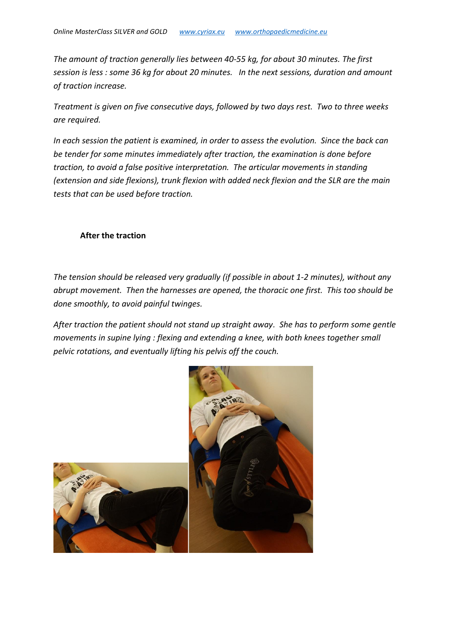*The amount of traction generally lies between 40-55 kg, for about 30 minutes. The first session is less : some 36 kg for about 20 minutes. In the next sessions, duration and amount of traction increase.* 

*Treatment is given on five consecutive days, followed by two days rest. Two to three weeks are required.* 

*In each session the patient is examined, in order to assess the evolution. Since the back can be tender for some minutes immediately after traction, the examination is done before traction, to avoid a false positive interpretation. The articular movements in standing (extension and side flexions), trunk flexion with added neck flexion and the SLR are the main tests that can be used before traction.*

#### **After the traction**

*The tension should be released very gradually (if possible in about 1-2 minutes), without any abrupt movement. Then the harnesses are opened, the thoracic one first. This too should be done smoothly, to avoid painful twinges.* 

*After traction the patient should not stand up straight away. She has to perform some gentle movements in supine lying : flexing and extending a knee, with both knees together small pelvic rotations, and eventually lifting his pelvis off the couch.* 

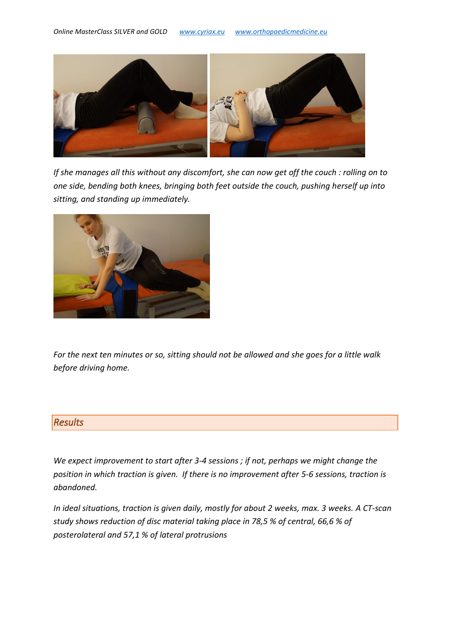

*If she manages all this without any discomfort, she can now get off the couch : rolling on to one side, bending both knees, bringing both feet outside the couch, pushing herself up into sitting, and standing up immediately.*



*For the next ten minutes or so, sitting should not be allowed and she goes for a little walk before driving home.* 

### *Results*

*We expect improvement to start after 3-4 sessions ; if not, perhaps we might change the position in which traction is given. If there is no improvement after 5-6 sessions, traction is abandoned.*

*In ideal situations, traction is given daily, mostly for about 2 weeks, max. 3 weeks. A CT-scan study shows reduction of disc material taking place in 78,5 % of central, 66,6 % of posterolateral and 57,1 % of lateral protrusions*